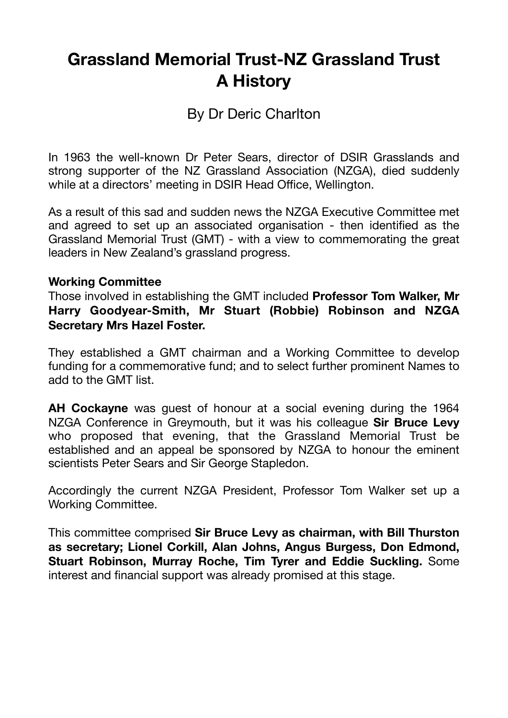# **Grassland Memorial Trust-NZ Grassland Trust A History**

# By Dr Deric Charlton

In 1963 the well-known Dr Peter Sears, director of DSIR Grasslands and strong supporter of the NZ Grassland Association (NZGA), died suddenly while at a directors' meeting in DSIR Head Office, Wellington.

As a result of this sad and sudden news the NZGA Executive Committee met and agreed to set up an associated organisation - then identified as the Grassland Memorial Trust (GMT) - with a view to commemorating the great leaders in New Zealand's grassland progress.

#### **Working Committee**

Those involved in establishing the GMT included **Professor Tom Walker, Mr Harry Goodyear-Smith, Mr Stuart (Robbie) Robinson and NZGA Secretary Mrs Hazel Foster.** 

They established a GMT chairman and a Working Committee to develop funding for a commemorative fund; and to select further prominent Names to add to the GMT list.

**AH Cockayne** was guest of honour at a social evening during the 1964 NZGA Conference in Greymouth, but it was his colleague **Sir Bruce Levy** who proposed that evening, that the Grassland Memorial Trust be established and an appeal be sponsored by NZGA to honour the eminent scientists Peter Sears and Sir George Stapledon.

Accordingly the current NZGA President, Professor Tom Walker set up a Working Committee.

This committee comprised **Sir Bruce Levy as chairman, with Bill Thurston as secretary; Lionel Corkill, Alan Johns, Angus Burgess, Don Edmond, Stuart Robinson, Murray Roche, Tim Tyrer and Eddie Suckling.** Some interest and financial support was already promised at this stage.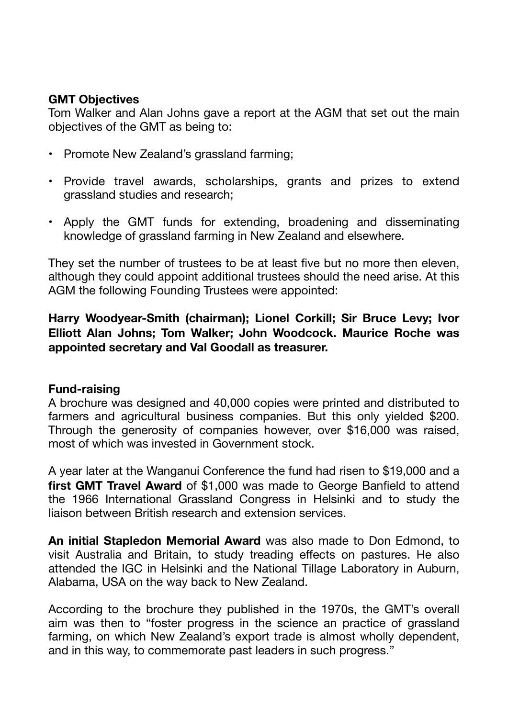### **GMT Objectives**

Tom Walker and Alan Johns gave a report at the AGM that set out the main objectives of the GMT as being to:

- Promote New Zealand's grassland farming;
- Provide travel awards, scholarships, grants and prizes to extend grassland studies and research;
- Apply the GMT funds for extending, broadening and disseminating knowledge of grassland farming in New Zealand and elsewhere.

They set the number of trustees to be at least five but no more then eleven, although they could appoint additional trustees should the need arise. At this AGM the following Founding Trustees were appointed:

### **Harry Woodyear-Smith (chairman); Lionel Corkill; Sir Bruce Levy; Ivor Elliott Alan Johns; Tom Walker; John Woodcock. Maurice Roche was appointed secretary and Val Goodall as treasurer.**

### **Fund-raising**

A brochure was designed and 40,000 copies were printed and distributed to farmers and agricultural business companies. But this only yielded \$200. Through the generosity of companies however, over \$16,000 was raised, most of which was invested in Government stock.

A year later at the Wanganui Conference the fund had risen to \$19,000 and a **first GMT Travel Award** of \$1,000 was made to George Banfield to attend the 1966 International Grassland Congress in Helsinki and to study the liaison between British research and extension services.

**An initial Stapledon Memorial Award** was also made to Don Edmond, to visit Australia and Britain, to study treading effects on pastures. He also attended the IGC in Helsinki and the National Tillage Laboratory in Auburn, Alabama, USA on the way back to New Zealand.

According to the brochure they published in the 1970s, the GMT's overall aim was then to "foster progress in the science an practice of grassland farming, on which New Zealand's export trade is almost wholly dependent, and in this way, to commemorate past leaders in such progress."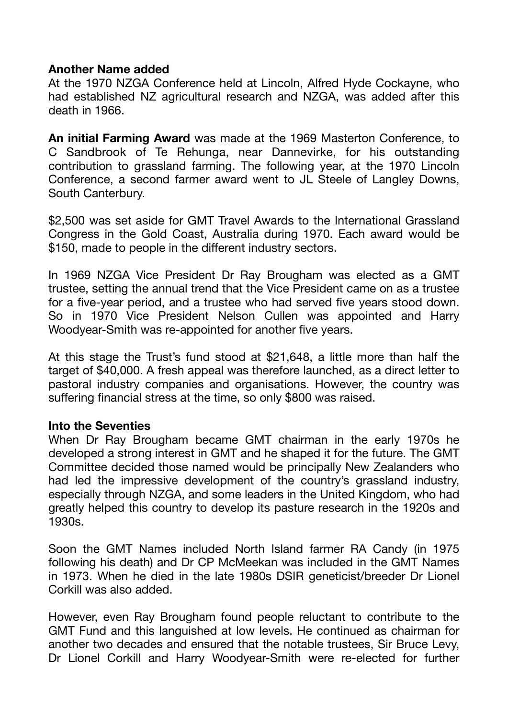#### **Another Name added**

At the 1970 NZGA Conference held at Lincoln, Alfred Hyde Cockayne, who had established NZ agricultural research and NZGA, was added after this death in 1966.

**An initial Farming Award** was made at the 1969 Masterton Conference, to C Sandbrook of Te Rehunga, near Dannevirke, for his outstanding contribution to grassland farming. The following year, at the 1970 Lincoln Conference, a second farmer award went to JL Steele of Langley Downs, South Canterbury.

\$2,500 was set aside for GMT Travel Awards to the International Grassland Congress in the Gold Coast, Australia during 1970. Each award would be \$150, made to people in the different industry sectors.

In 1969 NZGA Vice President Dr Ray Brougham was elected as a GMT trustee, setting the annual trend that the Vice President came on as a trustee for a five-year period, and a trustee who had served five years stood down. So in 1970 Vice President Nelson Cullen was appointed and Harry Woodyear-Smith was re-appointed for another five years.

At this stage the Trust's fund stood at \$21,648, a little more than half the target of \$40,000. A fresh appeal was therefore launched, as a direct letter to pastoral industry companies and organisations. However, the country was suffering financial stress at the time, so only \$800 was raised.

#### **Into the Seventies**

When Dr Ray Brougham became GMT chairman in the early 1970s he developed a strong interest in GMT and he shaped it for the future. The GMT Committee decided those named would be principally New Zealanders who had led the impressive development of the country's grassland industry, especially through NZGA, and some leaders in the United Kingdom, who had greatly helped this country to develop its pasture research in the 1920s and 1930s.

Soon the GMT Names included North Island farmer RA Candy (in 1975 following his death) and Dr CP McMeekan was included in the GMT Names in 1973. When he died in the late 1980s DSIR geneticist/breeder Dr Lionel Corkill was also added.

However, even Ray Brougham found people reluctant to contribute to the GMT Fund and this languished at low levels. He continued as chairman for another two decades and ensured that the notable trustees, Sir Bruce Levy, Dr Lionel Corkill and Harry Woodyear-Smith were re-elected for further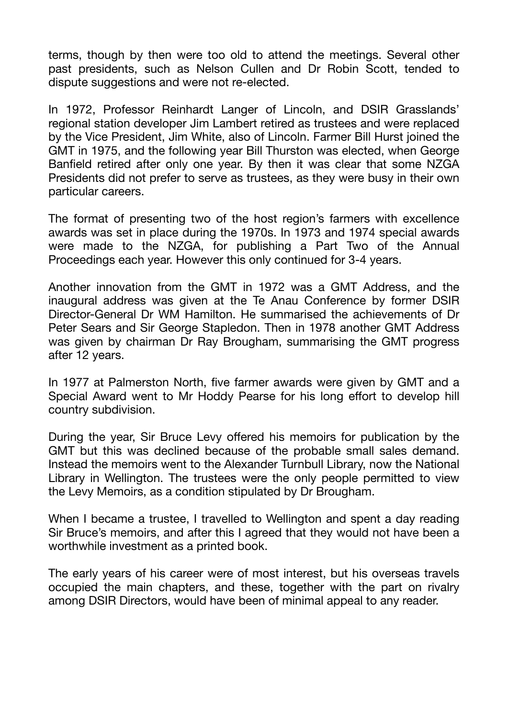terms, though by then were too old to attend the meetings. Several other past presidents, such as Nelson Cullen and Dr Robin Scott, tended to dispute suggestions and were not re-elected.

In 1972, Professor Reinhardt Langer of Lincoln, and DSIR Grasslands' regional station developer Jim Lambert retired as trustees and were replaced by the Vice President, Jim White, also of Lincoln. Farmer Bill Hurst joined the GMT in 1975, and the following year Bill Thurston was elected, when George Banfield retired after only one year. By then it was clear that some NZGA Presidents did not prefer to serve as trustees, as they were busy in their own particular careers.

The format of presenting two of the host region's farmers with excellence awards was set in place during the 1970s. In 1973 and 1974 special awards were made to the NZGA, for publishing a Part Two of the Annual Proceedings each year. However this only continued for 3-4 years.

Another innovation from the GMT in 1972 was a GMT Address, and the inaugural address was given at the Te Anau Conference by former DSIR Director-General Dr WM Hamilton. He summarised the achievements of Dr Peter Sears and Sir George Stapledon. Then in 1978 another GMT Address was given by chairman Dr Ray Brougham, summarising the GMT progress after 12 years.

In 1977 at Palmerston North, five farmer awards were given by GMT and a Special Award went to Mr Hoddy Pearse for his long effort to develop hill country subdivision.

During the year, Sir Bruce Levy offered his memoirs for publication by the GMT but this was declined because of the probable small sales demand. Instead the memoirs went to the Alexander Turnbull Library, now the National Library in Wellington. The trustees were the only people permitted to view the Levy Memoirs, as a condition stipulated by Dr Brougham.

When I became a trustee, I travelled to Wellington and spent a day reading Sir Bruce's memoirs, and after this I agreed that they would not have been a worthwhile investment as a printed book.

The early years of his career were of most interest, but his overseas travels occupied the main chapters, and these, together with the part on rivalry among DSIR Directors, would have been of minimal appeal to any reader.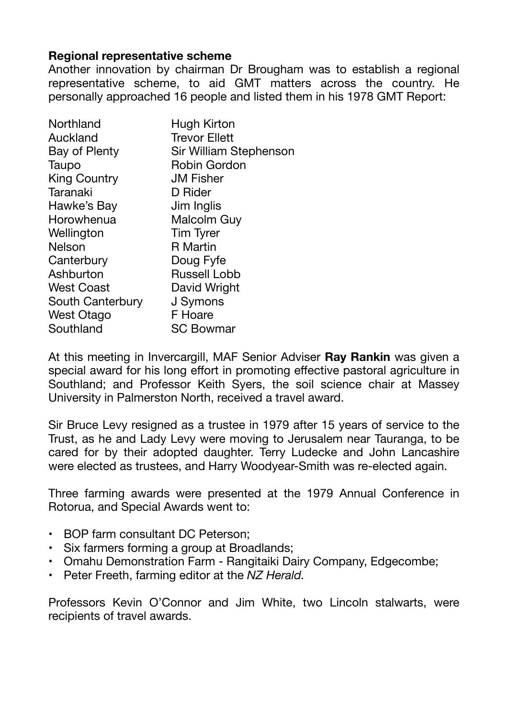#### **Regional representative scheme**

Another innovation by chairman Dr Brougham was to establish a regional representative scheme, to aid GMT matters across the country. He personally approached 16 people and listed them in his 1978 GMT Report:

| Northland           | Hugh Kirton            |
|---------------------|------------------------|
| Auckland            | <b>Trevor Ellett</b>   |
| Bay of Plenty       | Sir William Stephenson |
| Taupo               | <b>Robin Gordon</b>    |
| <b>King Country</b> | <b>JM Fisher</b>       |
| Taranaki            | D Rider                |
| Hawke's Bay         | Jim Inglis             |
| Horowhenua          | Malcolm Guy            |
| Wellington          | <b>Tim Tyrer</b>       |
| <b>Nelson</b>       | <b>R</b> Martin        |
| Canterbury          | Doug Fyfe              |
| Ashburton           | <b>Russell Lobb</b>    |
| <b>West Coast</b>   | David Wright           |
| South Canterbury    | J Symons               |
| <b>West Otago</b>   | F Hoare                |
| Southland           | <b>SC Bowmar</b>       |

At this meeting in Invercargill, MAF Senior Adviser **Ray Rankin** was given a special award for his long effort in promoting effective pastoral agriculture in Southland; and Professor Keith Syers, the soil science chair at Massey University in Palmerston North, received a travel award.

Sir Bruce Levy resigned as a trustee in 1979 after 15 years of service to the Trust, as he and Lady Levy were moving to Jerusalem near Tauranga, to be cared for by their adopted daughter. Terry Ludecke and John Lancashire were elected as trustees, and Harry Woodyear-Smith was re-elected again.

Three farming awards were presented at the 1979 Annual Conference in Rotorua, and Special Awards went to:

- BOP farm consultant DC Peterson;
- Six farmers forming a group at Broadlands;
- Omahu Demonstration Farm Rangitaiki Dairy Company, Edgecombe;
- Peter Freeth, farming editor at the *NZ Herald.*

Professors Kevin O'Connor and Jim White, two Lincoln stalwarts, were recipients of travel awards.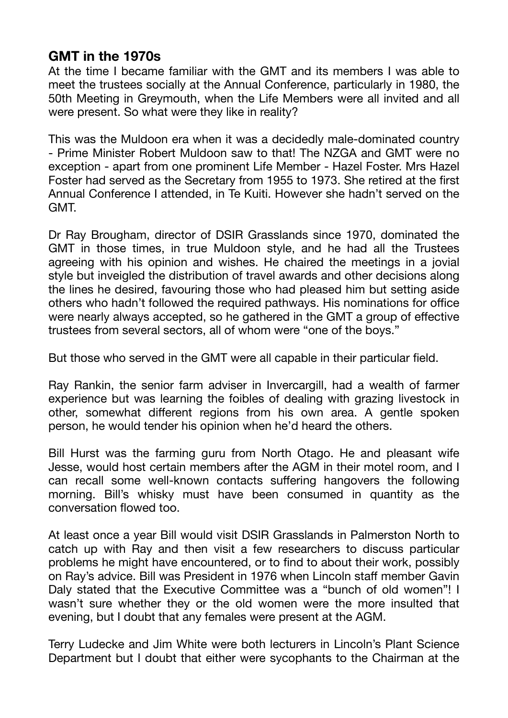# **GMT in the 1970s**

At the time I became familiar with the GMT and its members I was able to meet the trustees socially at the Annual Conference, particularly in 1980, the 50th Meeting in Greymouth, when the Life Members were all invited and all were present. So what were they like in reality?

This was the Muldoon era when it was a decidedly male-dominated country - Prime Minister Robert Muldoon saw to that! The NZGA and GMT were no exception - apart from one prominent Life Member - Hazel Foster. Mrs Hazel Foster had served as the Secretary from 1955 to 1973. She retired at the first Annual Conference I attended, in Te Kuiti. However she hadn't served on the GMT.

Dr Ray Brougham, director of DSIR Grasslands since 1970, dominated the GMT in those times, in true Muldoon style, and he had all the Trustees agreeing with his opinion and wishes. He chaired the meetings in a jovial style but inveigled the distribution of travel awards and other decisions along the lines he desired, favouring those who had pleased him but setting aside others who hadn't followed the required pathways. His nominations for office were nearly always accepted, so he gathered in the GMT a group of effective trustees from several sectors, all of whom were "one of the boys."

But those who served in the GMT were all capable in their particular field.

Ray Rankin, the senior farm adviser in Invercargill, had a wealth of farmer experience but was learning the foibles of dealing with grazing livestock in other, somewhat different regions from his own area. A gentle spoken person, he would tender his opinion when he'd heard the others.

Bill Hurst was the farming guru from North Otago. He and pleasant wife Jesse, would host certain members after the AGM in their motel room, and I can recall some well-known contacts suffering hangovers the following morning. Bill's whisky must have been consumed in quantity as the conversation flowed too.

At least once a year Bill would visit DSIR Grasslands in Palmerston North to catch up with Ray and then visit a few researchers to discuss particular problems he might have encountered, or to find to about their work, possibly on Ray's advice. Bill was President in 1976 when Lincoln staff member Gavin Daly stated that the Executive Committee was a "bunch of old women"! I wasn't sure whether they or the old women were the more insulted that evening, but I doubt that any females were present at the AGM.

Terry Ludecke and Jim White were both lecturers in Lincoln's Plant Science Department but I doubt that either were sycophants to the Chairman at the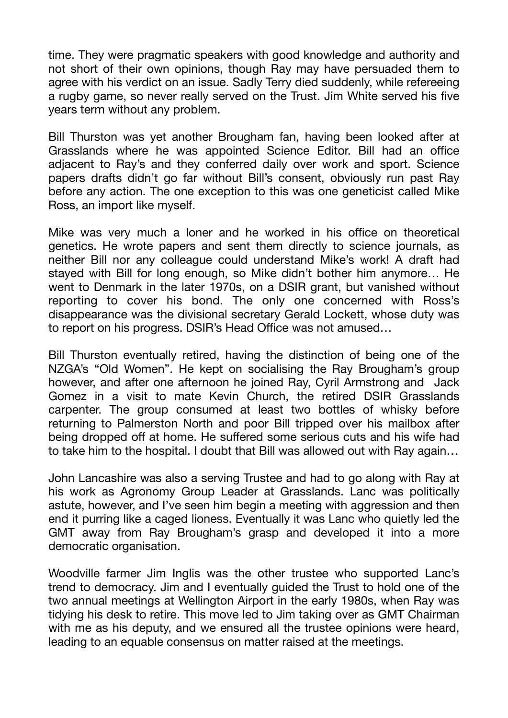time. They were pragmatic speakers with good knowledge and authority and not short of their own opinions, though Ray may have persuaded them to agree with his verdict on an issue. Sadly Terry died suddenly, while refereeing a rugby game, so never really served on the Trust. Jim White served his five years term without any problem.

Bill Thurston was yet another Brougham fan, having been looked after at Grasslands where he was appointed Science Editor. Bill had an office adjacent to Ray's and they conferred daily over work and sport. Science papers drafts didn't go far without Bill's consent, obviously run past Ray before any action. The one exception to this was one geneticist called Mike Ross, an import like myself.

Mike was very much a loner and he worked in his office on theoretical genetics. He wrote papers and sent them directly to science journals, as neither Bill nor any colleague could understand Mike's work! A draft had stayed with Bill for long enough, so Mike didn't bother him anymore… He went to Denmark in the later 1970s, on a DSIR grant, but vanished without reporting to cover his bond. The only one concerned with Ross's disappearance was the divisional secretary Gerald Lockett, whose duty was to report on his progress. DSIR's Head Office was not amused…

Bill Thurston eventually retired, having the distinction of being one of the NZGA's "Old Women". He kept on socialising the Ray Brougham's group however, and after one afternoon he joined Ray, Cyril Armstrong and Jack Gomez in a visit to mate Kevin Church, the retired DSIR Grasslands carpenter. The group consumed at least two bottles of whisky before returning to Palmerston North and poor Bill tripped over his mailbox after being dropped off at home. He suffered some serious cuts and his wife had to take him to the hospital. I doubt that Bill was allowed out with Ray again…

John Lancashire was also a serving Trustee and had to go along with Ray at his work as Agronomy Group Leader at Grasslands. Lanc was politically astute, however, and I've seen him begin a meeting with aggression and then end it purring like a caged lioness. Eventually it was Lanc who quietly led the GMT away from Ray Brougham's grasp and developed it into a more democratic organisation.

Woodville farmer Jim Inglis was the other trustee who supported Lanc's trend to democracy. Jim and I eventually guided the Trust to hold one of the two annual meetings at Wellington Airport in the early 1980s, when Ray was tidying his desk to retire. This move led to Jim taking over as GMT Chairman with me as his deputy, and we ensured all the trustee opinions were heard, leading to an equable consensus on matter raised at the meetings.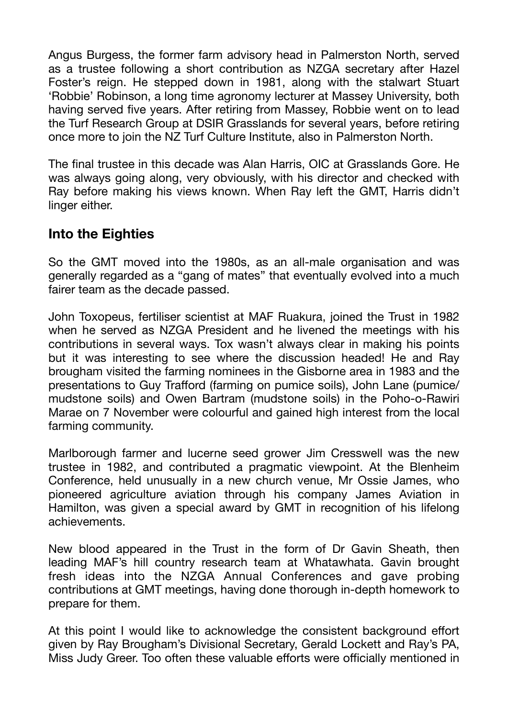Angus Burgess, the former farm advisory head in Palmerston North, served as a trustee following a short contribution as NZGA secretary after Hazel Foster's reign. He stepped down in 1981, along with the stalwart Stuart 'Robbie' Robinson, a long time agronomy lecturer at Massey University, both having served five years. After retiring from Massey, Robbie went on to lead the Turf Research Group at DSIR Grasslands for several years, before retiring once more to join the NZ Turf Culture Institute, also in Palmerston North.

The final trustee in this decade was Alan Harris, OIC at Grasslands Gore. He was always going along, very obviously, with his director and checked with Ray before making his views known. When Ray left the GMT, Harris didn't linger either.

### **Into the Eighties**

So the GMT moved into the 1980s, as an all-male organisation and was generally regarded as a "gang of mates" that eventually evolved into a much fairer team as the decade passed.

John Toxopeus, fertiliser scientist at MAF Ruakura, joined the Trust in 1982 when he served as NZGA President and he livened the meetings with his contributions in several ways. Tox wasn't always clear in making his points but it was interesting to see where the discussion headed! He and Ray brougham visited the farming nominees in the Gisborne area in 1983 and the presentations to Guy Trafford (farming on pumice soils), John Lane (pumice/ mudstone soils) and Owen Bartram (mudstone soils) in the Poho-o-Rawiri Marae on 7 November were colourful and gained high interest from the local farming community.

Marlborough farmer and lucerne seed grower Jim Cresswell was the new trustee in 1982, and contributed a pragmatic viewpoint. At the Blenheim Conference, held unusually in a new church venue, Mr Ossie James, who pioneered agriculture aviation through his company James Aviation in Hamilton, was given a special award by GMT in recognition of his lifelong achievements.

New blood appeared in the Trust in the form of Dr Gavin Sheath, then leading MAF's hill country research team at Whatawhata. Gavin brought fresh ideas into the NZGA Annual Conferences and gave probing contributions at GMT meetings, having done thorough in-depth homework to prepare for them.

At this point I would like to acknowledge the consistent background effort given by Ray Brougham's Divisional Secretary, Gerald Lockett and Ray's PA, Miss Judy Greer. Too often these valuable efforts were officially mentioned in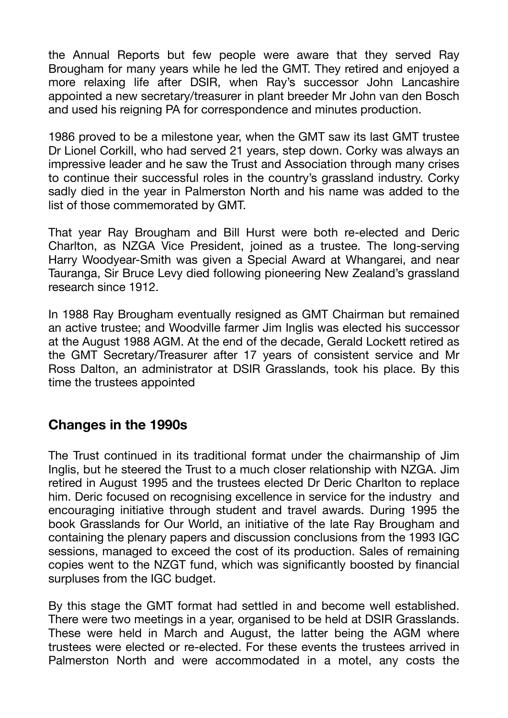the Annual Reports but few people were aware that they served Ray Brougham for many years while he led the GMT. They retired and enjoyed a more relaxing life after DSIR, when Ray's successor John Lancashire appointed a new secretary/treasurer in plant breeder Mr John van den Bosch and used his reigning PA for correspondence and minutes production.

1986 proved to be a milestone year, when the GMT saw its last GMT trustee Dr Lionel Corkill, who had served 21 years, step down. Corky was always an impressive leader and he saw the Trust and Association through many crises to continue their successful roles in the country's grassland industry. Corky sadly died in the year in Palmerston North and his name was added to the list of those commemorated by GMT.

That year Ray Brougham and Bill Hurst were both re-elected and Deric Charlton, as NZGA Vice President, joined as a trustee. The long-serving Harry Woodyear-Smith was given a Special Award at Whangarei, and near Tauranga, Sir Bruce Levy died following pioneering New Zealand's grassland research since 1912.

In 1988 Ray Brougham eventually resigned as GMT Chairman but remained an active trustee; and Woodville farmer Jim Inglis was elected his successor at the August 1988 AGM. At the end of the decade, Gerald Lockett retired as the GMT Secretary/Treasurer after 17 years of consistent service and Mr Ross Dalton, an administrator at DSIR Grasslands, took his place. By this time the trustees appointed

### **Changes in the 1990s**

The Trust continued in its traditional format under the chairmanship of Jim Inglis, but he steered the Trust to a much closer relationship with NZGA. Jim retired in August 1995 and the trustees elected Dr Deric Charlton to replace him. Deric focused on recognising excellence in service for the industry and encouraging initiative through student and travel awards. During 1995 the book Grasslands for Our World, an initiative of the late Ray Brougham and containing the plenary papers and discussion conclusions from the 1993 IGC sessions, managed to exceed the cost of its production. Sales of remaining copies went to the NZGT fund, which was significantly boosted by financial surpluses from the IGC budget.

By this stage the GMT format had settled in and become well established. There were two meetings in a year, organised to be held at DSIR Grasslands. These were held in March and August, the latter being the AGM where trustees were elected or re-elected. For these events the trustees arrived in Palmerston North and were accommodated in a motel, any costs the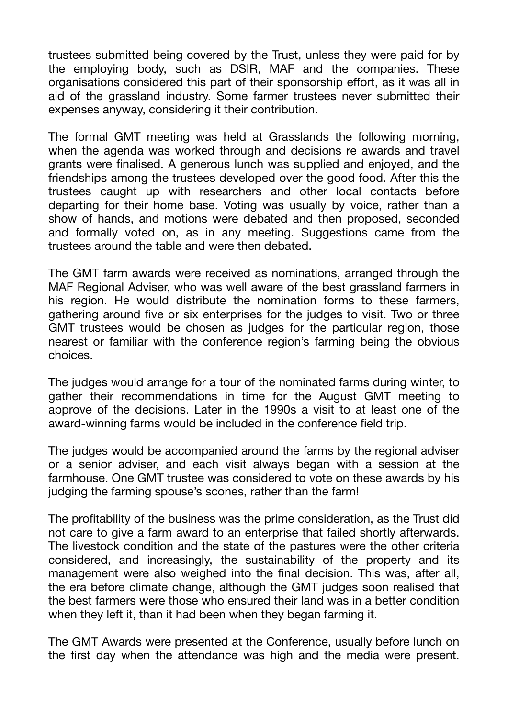trustees submitted being covered by the Trust, unless they were paid for by the employing body, such as DSIR, MAF and the companies. These organisations considered this part of their sponsorship effort, as it was all in aid of the grassland industry. Some farmer trustees never submitted their expenses anyway, considering it their contribution.

The formal GMT meeting was held at Grasslands the following morning, when the agenda was worked through and decisions re awards and travel grants were finalised. A generous lunch was supplied and enjoyed, and the friendships among the trustees developed over the good food. After this the trustees caught up with researchers and other local contacts before departing for their home base. Voting was usually by voice, rather than a show of hands, and motions were debated and then proposed, seconded and formally voted on, as in any meeting. Suggestions came from the trustees around the table and were then debated.

The GMT farm awards were received as nominations, arranged through the MAF Regional Adviser, who was well aware of the best grassland farmers in his region. He would distribute the nomination forms to these farmers, gathering around five or six enterprises for the judges to visit. Two or three GMT trustees would be chosen as judges for the particular region, those nearest or familiar with the conference region's farming being the obvious choices.

The judges would arrange for a tour of the nominated farms during winter, to gather their recommendations in time for the August GMT meeting to approve of the decisions. Later in the 1990s a visit to at least one of the award-winning farms would be included in the conference field trip.

The judges would be accompanied around the farms by the regional adviser or a senior adviser, and each visit always began with a session at the farmhouse. One GMT trustee was considered to vote on these awards by his judging the farming spouse's scones, rather than the farm!

The profitability of the business was the prime consideration, as the Trust did not care to give a farm award to an enterprise that failed shortly afterwards. The livestock condition and the state of the pastures were the other criteria considered, and increasingly, the sustainability of the property and its management were also weighed into the final decision. This was, after all, the era before climate change, although the GMT judges soon realised that the best farmers were those who ensured their land was in a better condition when they left it, than it had been when they began farming it.

The GMT Awards were presented at the Conference, usually before lunch on the first day when the attendance was high and the media were present.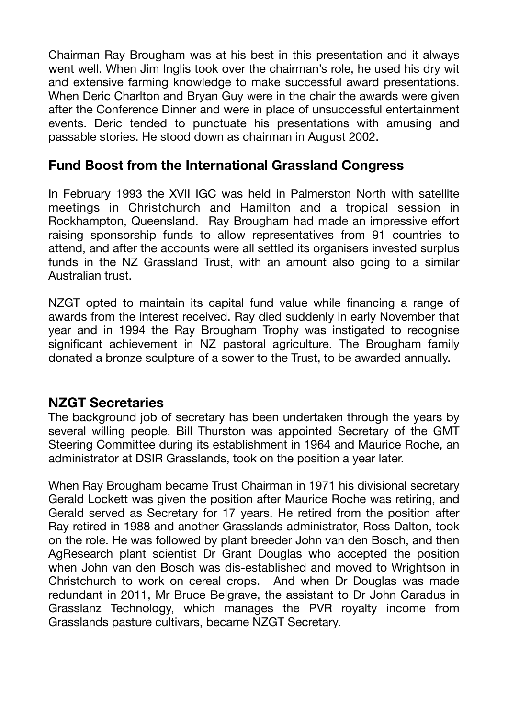Chairman Ray Brougham was at his best in this presentation and it always went well. When Jim Inglis took over the chairman's role, he used his dry wit and extensive farming knowledge to make successful award presentations. When Deric Charlton and Bryan Guy were in the chair the awards were given after the Conference Dinner and were in place of unsuccessful entertainment events. Deric tended to punctuate his presentations with amusing and passable stories. He stood down as chairman in August 2002.

## **Fund Boost from the International Grassland Congress**

In February 1993 the XVII IGC was held in Palmerston North with satellite meetings in Christchurch and Hamilton and a tropical session in Rockhampton, Queensland. Ray Brougham had made an impressive effort raising sponsorship funds to allow representatives from 91 countries to attend, and after the accounts were all settled its organisers invested surplus funds in the NZ Grassland Trust, with an amount also going to a similar Australian trust.

NZGT opted to maintain its capital fund value while financing a range of awards from the interest received. Ray died suddenly in early November that year and in 1994 the Ray Brougham Trophy was instigated to recognise significant achievement in NZ pastoral agriculture. The Brougham family donated a bronze sculpture of a sower to the Trust, to be awarded annually.

### **NZGT Secretaries**

The background job of secretary has been undertaken through the years by several willing people. Bill Thurston was appointed Secretary of the GMT Steering Committee during its establishment in 1964 and Maurice Roche, an administrator at DSIR Grasslands, took on the position a year later.

When Ray Brougham became Trust Chairman in 1971 his divisional secretary Gerald Lockett was given the position after Maurice Roche was retiring, and Gerald served as Secretary for 17 years. He retired from the position after Ray retired in 1988 and another Grasslands administrator, Ross Dalton, took on the role. He was followed by plant breeder John van den Bosch, and then AgResearch plant scientist Dr Grant Douglas who accepted the position when John van den Bosch was dis-established and moved to Wrightson in Christchurch to work on cereal crops. And when Dr Douglas was made redundant in 2011, Mr Bruce Belgrave, the assistant to Dr John Caradus in Grasslanz Technology, which manages the PVR royalty income from Grasslands pasture cultivars, became NZGT Secretary.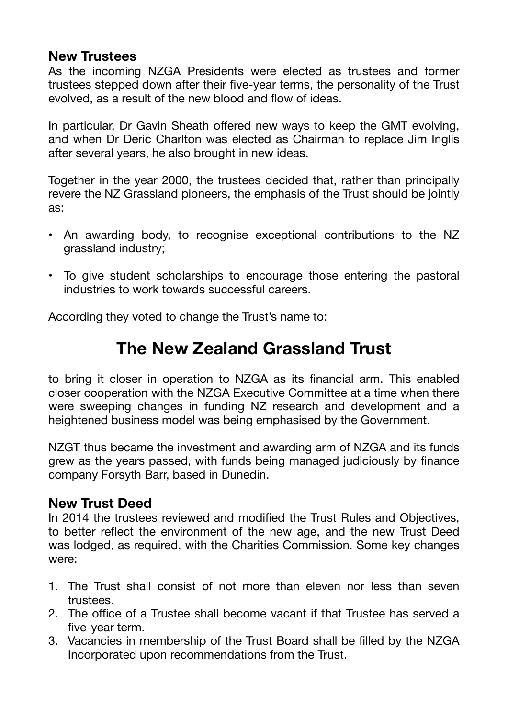### **New Trustees**

As the incoming NZGA Presidents were elected as trustees and former trustees stepped down after their five-year terms, the personality of the Trust evolved, as a result of the new blood and flow of ideas.

In particular, Dr Gavin Sheath offered new ways to keep the GMT evolving, and when Dr Deric Charlton was elected as Chairman to replace Jim Inglis after several years, he also brought in new ideas.

Together in the year 2000, the trustees decided that, rather than principally revere the NZ Grassland pioneers, the emphasis of the Trust should be jointly as:

- An awarding body, to recognise exceptional contributions to the NZ grassland industry;
- To give student scholarships to encourage those entering the pastoral industries to work towards successful careers.

According they voted to change the Trust's name to:

# **The New Zealand Grassland Trust**

to bring it closer in operation to NZGA as its financial arm. This enabled closer cooperation with the NZGA Executive Committee at a time when there were sweeping changes in funding NZ research and development and a heightened business model was being emphasised by the Government.

NZGT thus became the investment and awarding arm of NZGA and its funds grew as the years passed, with funds being managed judiciously by finance company Forsyth Barr, based in Dunedin.

# **New Trust Deed**

In 2014 the trustees reviewed and modified the Trust Rules and Objectives, to better reflect the environment of the new age, and the new Trust Deed was lodged, as required, with the Charities Commission. Some key changes were:

- 1. The Trust shall consist of not more than eleven nor less than seven trustees.
- 2. The office of a Trustee shall become vacant if that Trustee has served a five-year term.
- 3. Vacancies in membership of the Trust Board shall be filled by the NZGA Incorporated upon recommendations from the Trust.